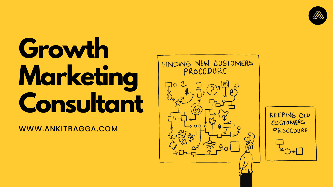# **Growth Marketing Consultant**

WWW.ANKITBAGGA.COM



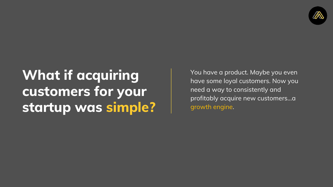### **What if acquiring customers for your startup was simple?**



You have a product. Maybe you even have some loyal customers. Now you need a way to consistently and profitably acquire new customers...a growth engine.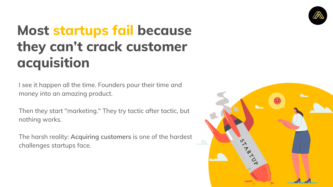I see it happen all the time. Founders pour their time and money into an amazing product.

Then they start "marketing." They try tactic after tactic, but nothing works.

The harsh reality: **Acquiring customers** is one of the hardest challenges startups face.



## **Most startups fail because they can't crack customer acquisition**

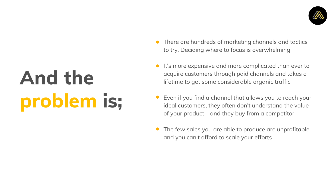# **And the problem is;**

- $\bullet$
- 
- 
- 



There are hundreds of marketing channels and tactics to try. Deciding where to focus is overwhelming

It's more expensive and more complicated than ever to acquire customers through paid channels and takes a lifetime to get some considerable organic traffic

Even if you find a channel that allows you to reach your ideal customers, they often don't understand the value of your product—and they buy from a competitor

The few sales you are able to produce are unprofitable and you can't afford to scale your efforts.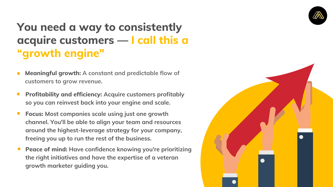#### **You need a way to consistently acquire customers — I call this a "growth engine"**

- **Meaningful growth: A constant and predictable flow of customers to grow revenue.**
- **Profitability and efficiency: Acquire customers profitably so you can reinvest back into your engine and scale.**
- **Focus: Most companies scale using just one growth channel. You'll be able to align your team and resources around the highest-leverage strategy for your company, freeing you up to run the rest of the business.**
- **Peace of mind: Have confidence knowing you're prioritizing the right initiatives and have the expertise of a veteran growth marketer guiding you.**



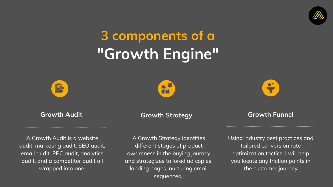## **3 components of a "Growth Engine"**





#### **Growth Audit**

A Growth Audit is a website audit, marketing audit, SEO audit, email audit, PPC audit, analytics audit, and a competitor audit all wrapped into one.

#### **Growth Strategy Growth Funnel**

A Growth Strategy identifies different stages of product awareness in the buying journey and strategizes tailored ad copies, landing pages, nurturing email sequences.







Using industry best practices and tailored conversion rate optimization tactics, I will help you locate any friction points in the customer journey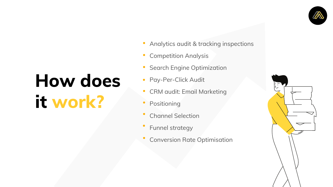- Analytics audit & tracking inspections
- Competition Analysis
- Search Engine Optimization
- Pay-Per-Click Audit
- CRM audit: Email Marketing
- Positioning
- Channel Selection
- Funnel strategy
- Conversion Rate Optimisation





# **How does it work?**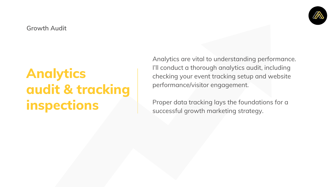#### **Analytics audit & tracking inspections**

Analytics are vital to understanding performance. I'll conduct a thorough analytics audit, including checking your event tracking setup and website performance/visitor engagement.

Proper data tracking lays the foundations for a successful growth marketing strategy.

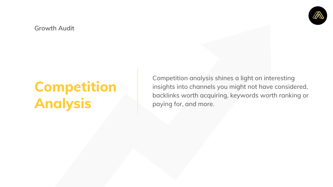#### **Competition Analysis**

Competition analysis shines a light on interesting insights into channels you might not have considered, backlinks worth acquiring, keywords worth ranking or paying for, and more.

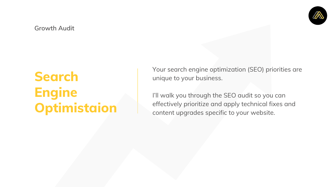#### **Search Engine Optimistaion**

Your search engine optimization (SEO) priorities are unique to your business.

I'll walk you through the SEO audit so you can effectively prioritize and apply technical fixes and content upgrades specific to your website.

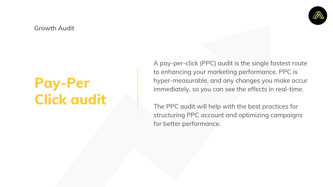### **Pay-Per Click audit**

A pay-per-click (PPC) audit is the single fastest route to enhancing your marketing performance. PPC is hyper-measurable, and any changes you make occur immediately, so you can see the effects in real-time.

The PPC audit will help with the best practices for structuring PPC account and optimizing campaigns for better performance.

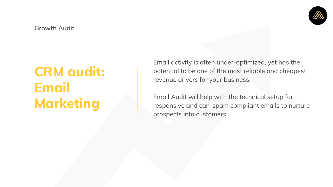#### **CRM audit: Email Marketing**

Email activity is often under-optimized, yet has the potential to be one of the most reliable and cheapest revenue drivers for your business.

Email Audit will help with the technical setup for responsive and can-spam compliant emails to nurture prospects into customers.

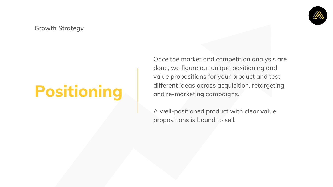## **Positioning**

Once the market and competition analysis are done, we figure out unique positioning and value propositions for your product and test different ideas across acquisition, retargeting, and re-marketing campaigns.

A well-positioned product with clear value propositions is bound to sell.



**Growth Strategy**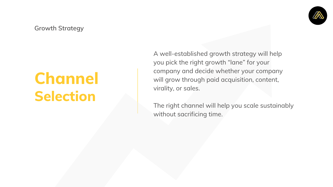## **Channel Selection**

A well-established growth strategy will help you pick the right growth "lane" for your company and decide whether your company will grow through paid acquisition, content, virality, or sales.

The right channel will help you scale sustainably without sacrificing time.



**Growth Strategy**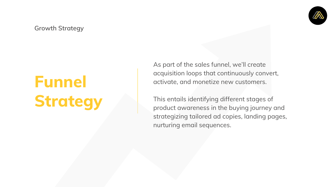As part of the sales funnel, we'll create acquisition loops that continuously convert, activate, and monetize new customers.

This entails identifying different stages of product awareness in the buying journey and strategizing tailored ad copies, landing pages, nurturing email sequences.



**Growth Strategy**

## **Funnel Strategy**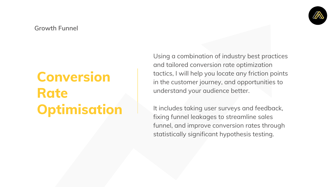### **Conversion Rate Optimisation**

Using a combination of industry best practices and tailored conversion rate optimization tactics, I will help you locate any friction points in the customer journey, and opportunities to understand your audience better.

It includes taking user surveys and feedback, fixing funnel leakages to streamline sales funnel, and improve conversion rates through statistically significant hypothesis testing.



#### **Growth Funnel**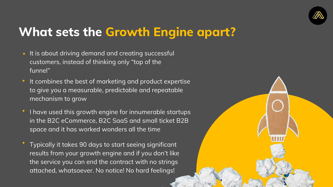#### **What sets the Growth Engine apart?**

- It is about driving demand and creating successful customers, instead of thinking only "top of the funnel"
- It combines the best of marketing and product expertise to give you a measurable, predictable and repeatable mechanism to grow
- I have used this growth engine for innumerable startups in the B2C eCommerce, B2C SaaS and small ticket B2B space and it has worked wonders all the time
- Typically it takes 90 days to start seeing significant results from your growth engine and if you don't like the service you can end the contract with no strings attached, whatsoever. No notice! No hard feelings!





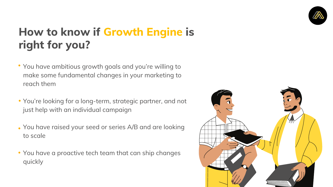#### **How to know if Growth Engine is right for you?**

- You have ambitious growth goals and you're willing to make some fundamental changes in your marketing to reach them
- You're looking for a long-term, strategic partner, and not just help with an individual campaign
- You have raised your seed or series A/B and are looking to scale
- You have a proactive tech team that can ship changes quickly



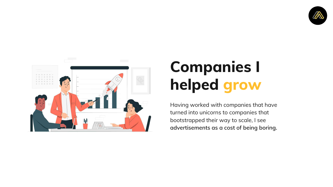

## **Companies I helped grow**

Having worked with companies that have turned into unicorns to companies that bootstrapped their way to scale, I see **advertisements as a cost of being boring.**

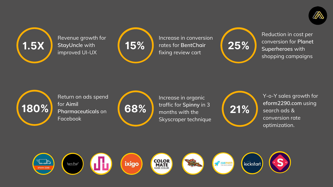

Revenue growth for **StayUncle** with improved UI-UX



Return on ads spend for **Aimil Pharmaceuticals** on Facebook



Increase in conversion rates for **BentChair** fixing review cart



Increase in organic traffic for **Spinny** in 3 months with the Skyscraper technique







Reduction in cost per conversion for **Planet Superheroes** with shopping campaigns



Y-o-Y sales growth for **eform2290.com** using search ads & conversion rate optimization.

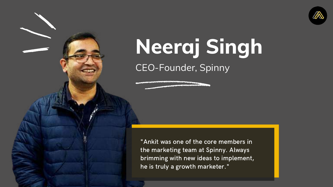"Ankit was one of the core members in the marketing team at Spinny. Always brimming with new ideas to implement, he is truly a growth marketer."



# **Neeraj Singh** CEO-Founder, Spinny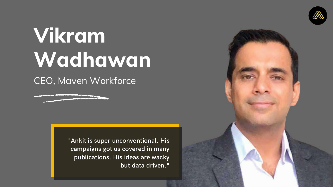"Ankit is super unconventional. His campaigns got us covered in many publications. His ideas are wacky but data driven."





# **Vikram Wadhawan** CEO, Maven Workforce